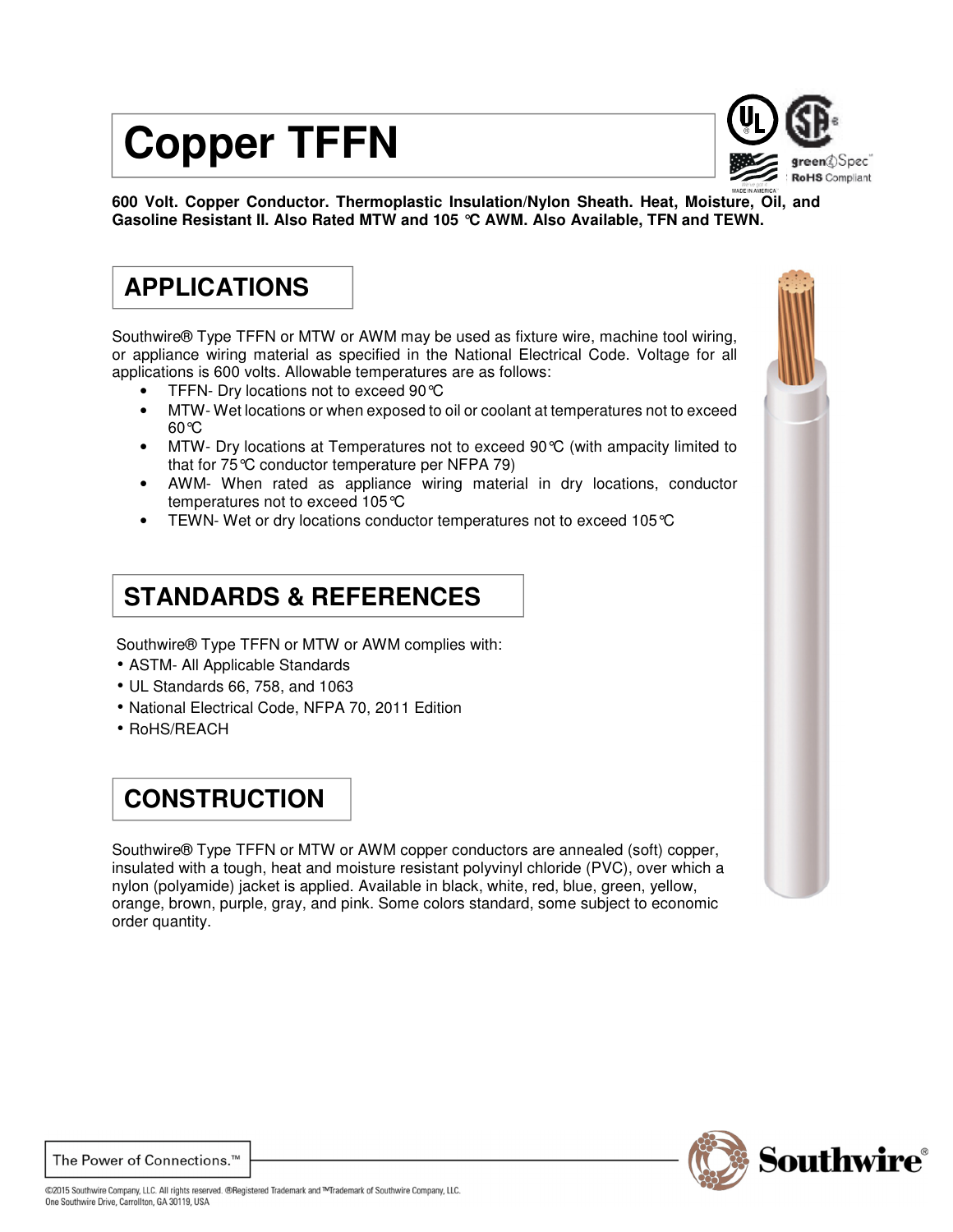# **Copper TFFN**



**600 Volt. Copper Conductor. Thermoplastic Insulation/Nylon Sheath. Heat, Moisture, Oil, and Gasoline Resistant II. Also Rated MTW and 105 °C AWM. Also Available, TFN and TEWN.**

## **APPLICATIONS**

Southwire® Type TFFN or MTW or AWM may be used as fixture wire, machine tool wiring, or appliance wiring material as specified in the National Electrical Code. Voltage for all applications is 600 volts. Allowable temperatures are as follows:

- TFFN- Dry locations not to exceed 90°C
- MTW- Wet locations or when exposed to oil or coolant at temperatures not to exceed 60°C
- MTW- Dry locations at Temperatures not to exceed 90°C (with ampacity limited to that for 75°C conductor temperature per NFPA 79)
- AWM- When rated as appliance wiring material in dry locations, conductor temperatures not to exceed 105°C
- TEWN- Wet or dry locations conductor temperatures not to exceed 105°C

#### **STANDARDS & REFERENCES**

Southwire® Type TFFN or MTW or AWM complies with:

- ASTM- All Applicable Standards
- UL Standards 66, 758, and 1063
- National Electrical Code, NFPA 70, 2011 Edition
- RoHS/REACH

### **CONSTRUCTION**

Southwire® Type TFFN or MTW or AWM copper conductors are annealed (soft) copper, insulated with a tough, heat and moisture resistant polyvinyl chloride (PVC), over which a nylon (polyamide) jacket is applied. Available in black, white, red, blue, green, yellow, orange, brown, purple, gray, and pink. Some colors standard, some subject to economic order quantity.



The Power of Connections.<sup>™</sup>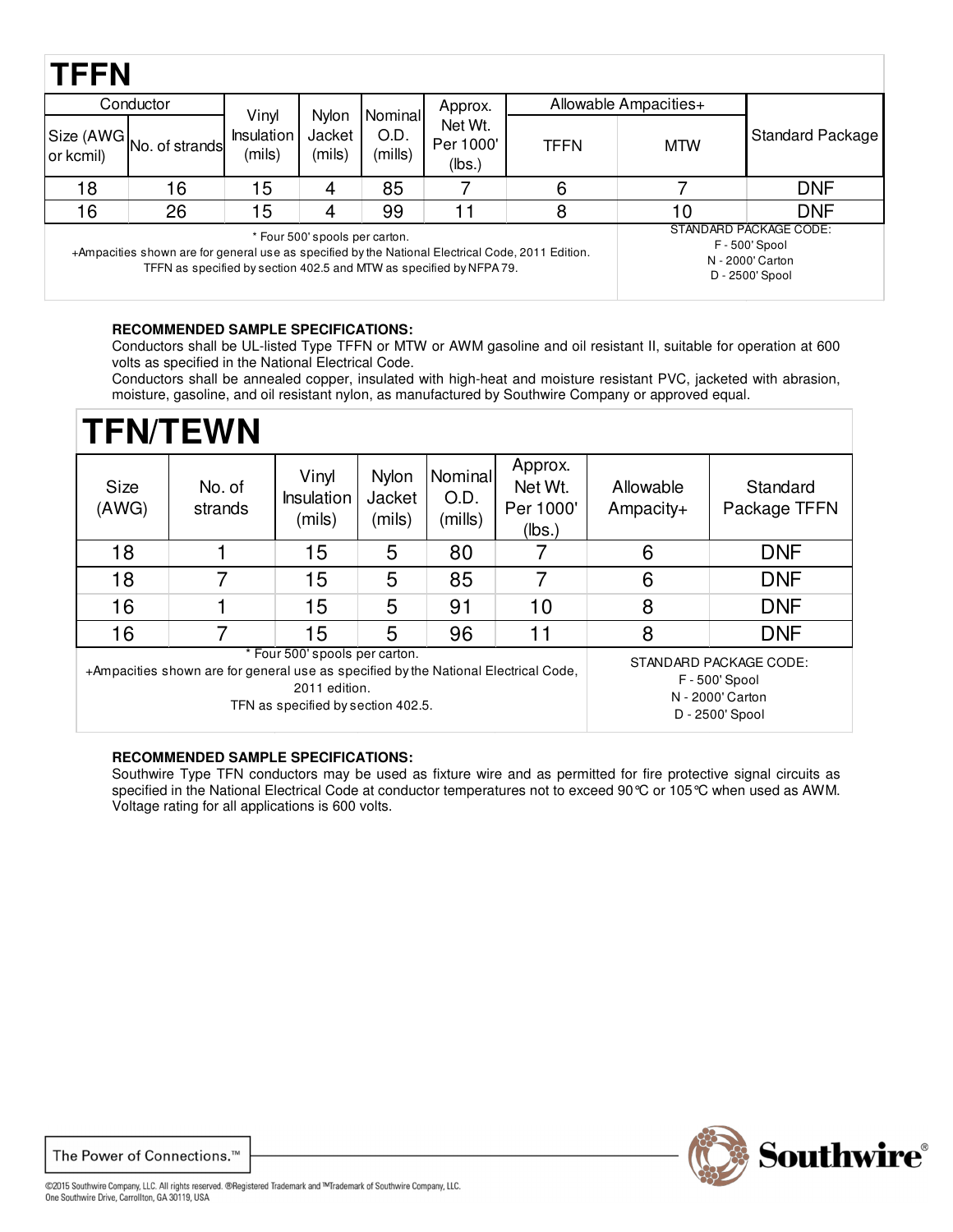## **TFFN**

| IFFIN     |                                                                                                                                                                          |                                                                                 |                           |                            |                                |                       |            |                  |  |
|-----------|--------------------------------------------------------------------------------------------------------------------------------------------------------------------------|---------------------------------------------------------------------------------|---------------------------|----------------------------|--------------------------------|-----------------------|------------|------------------|--|
| Conductor |                                                                                                                                                                          |                                                                                 |                           |                            | Approx.                        | Allowable Ampacities+ |            |                  |  |
| or kcmil) | Size (AWG No. of strands)                                                                                                                                                | Vinyl<br><b>Insulation</b><br>(mils)                                            | Nylon<br>Jacket<br>(mils) | Nominal<br>O.D.<br>(mills) | Net Wt.<br>Per 1000'<br>(lbs.) | TFFN                  | <b>MTW</b> | Standard Package |  |
| 18        | 16                                                                                                                                                                       | 15                                                                              |                           | 85                         |                                | 6                     |            | <b>DNF</b>       |  |
| 16        | 26                                                                                                                                                                       | 15                                                                              |                           | 99                         | 11                             | 8                     | 10         | <b>DNF</b>       |  |
|           | +Ampacities shown are for general use as specified by the National Electrical Code, 2011 Edition.<br>TFFN as specified by section 402.5 and MTW as specified by NFPA 79. | STANDARD PACKAGE CODE:<br>F - 500' Spool<br>N - 2000' Carton<br>D - 2500' Spool |                           |                            |                                |                       |            |                  |  |

#### **RECOMMENDED SAMPLE SPECIFICATIONS:**

Conductors shall be UL-listed Type TFFN or MTW or AWM gasoline and oil resistant II, suitable for operation at 600 volts as specified in the National Electrical Code.

Conductors shall be annealed copper, insulated with high-heat and moisture resistant PVC, jacketed with abrasion, moisture, gasoline, and oil resistant nylon, as manufactured by Southwire Company or approved equal.

| <b>TFN/TEWN</b> |                                                                                                                                                             |                                                                                 |                                  |                            |                                           |                        |                          |
|-----------------|-------------------------------------------------------------------------------------------------------------------------------------------------------------|---------------------------------------------------------------------------------|----------------------------------|----------------------------|-------------------------------------------|------------------------|--------------------------|
| Size<br>(AWG)   | No. of<br>strands                                                                                                                                           | Vinyl<br><b>Insulation</b><br>(mils)                                            | <b>Nylon</b><br>Jacket<br>(mils) | Nominal<br>O.D.<br>(mills) | Approx.<br>Net Wt.<br>Per 1000'<br>(lbs.) | Allowable<br>Ampacity+ | Standard<br>Package TFFN |
| 18              |                                                                                                                                                             | 15                                                                              | 5                                | 80                         |                                           | 6                      | <b>DNF</b>               |
| 18              | 7                                                                                                                                                           | 15                                                                              | 5                                | 85                         |                                           | 6                      | <b>DNF</b>               |
| 16              |                                                                                                                                                             | 15                                                                              | 5                                | 91                         | 10                                        | 8                      | <b>DNF</b>               |
| 16              |                                                                                                                                                             | 15                                                                              | 5                                | 96                         | 11                                        | 8                      | <b>DNF</b>               |
|                 | * Four 500' spools per carton.<br>+Ampacities shown are for general use as specified by the National Electrical Code,<br>TFN as specified by section 402.5. | STANDARD PACKAGE CODE:<br>F - 500' Spool<br>N - 2000' Carton<br>D - 2500' Spool |                                  |                            |                                           |                        |                          |

#### **RECOMMENDED SAMPLE SPECIFICATIONS:**

Southwire Type TFN conductors may be used as fixture wire and as permitted for fire protective signal circuits as specified in the National Electrical Code at conductor temperatures not to exceed 90 °C or 105 °C when used as AWM. Voltage rating for all applications is 600 volts.



The Power of Connections.<sup>™</sup>